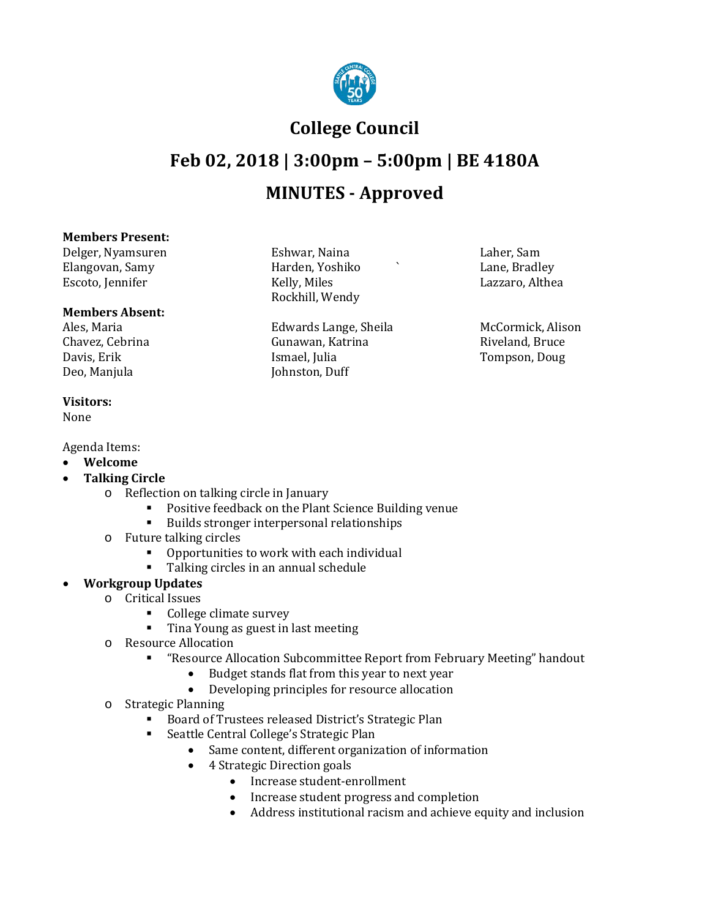

### **College Council**

## **Feb 02, 2018 | 3:00pm – 5:00pm | BE 4180A MINUTES - Approved**

#### **Members Present:**

Delger, Nyamsuren Eshwar, Naina Laher, Sam Elangovan, Samy Harden, Yoshiko ` Lane, Bradley Escoto, Jennifer

# **Members Absent:**

Chavez, Cebrina Gunawan, Katrina Davis, Erik Gunawan, Katrina Riveland, Bruceland, Bruceland, Bruceland, Bruce Davis, Erik Ismael, Julia Tompson, Doug

**Visitors:**

None

Agenda Items:

- **Welcome**
- **Talking Circle**
	- o Reflection on talking circle in January
		- **Positive feedback on the Plant Science Building venue**<br>**Propert interpersional relationships**

Rockhill, Wendy

Johnston, Duff

- Builds stronger interpersonal relationships
- o Future talking circles
	- Opportunities to work with each individual<br>• Talking circles in an annual schedule
	- Talking circles in an annual schedule

#### • **Workgroup Updates**

- o Critical Issues
	- College climate survey
	- **Tina Young as guest in last meeting**
- o Resource Allocation
	- "Resource Allocation Subcommittee Report from February Meeting" handout
		- Budget stands flat from this year to next year<br>• Develoning principles for resource allocation
		- Developing principles for resource allocation
- o Strategic Planning
	- Board of Trustees released District's Strategic Plan
	- Seattle Central College's Strategic Plan
		- Same content, different organization of information
		- 4 Strategic Direction goals
			- Increase student-enrollment
			- Increase student progress and completion
			- Address institutional racism and achieve equity and inclusion

Ales, Maria Edwards Lange, Sheila McCormick, Alison